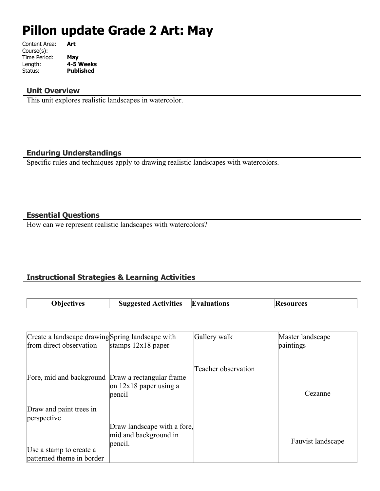# **Pillon update Grade 2 Art: May**

| Art              |
|------------------|
|                  |
| May              |
| 4-5 Weeks        |
| <b>Published</b> |
|                  |

## **Unit Overview**

This unit explores realistic landscapes in watercolor.

## **Enduring Understandings**

Specific rules and techniques apply to drawing realistic landscapes with watercolors.

## **Essential Questions**

How can we represent realistic landscapes with watercolors?

# **Instructional Strategies & Learning Activities**

|                   |                             |             | <b>Resources</b> |
|-------------------|-----------------------------|-------------|------------------|
| <b>Objectives</b> | <b>Suggested Activities</b> | Evaluations |                  |

| Create a landscape drawing Spring landscape with     |                                                                 | Gallery walk        | Master landscape         |
|------------------------------------------------------|-----------------------------------------------------------------|---------------------|--------------------------|
| from direct observation                              | stamps $12x18$ paper                                            |                     | paintings                |
| Fore, mid and background Draw a rectangular frame    | on $12x18$ paper using a<br>pencil                              | Teacher observation | Cezanne                  |
| Draw and paint trees in<br>perspective               |                                                                 |                     |                          |
| Use a stamp to create a<br>patterned theme in border | Draw landscape with a fore,<br>mid and background in<br>pencil. |                     | <b>Fauvist landscape</b> |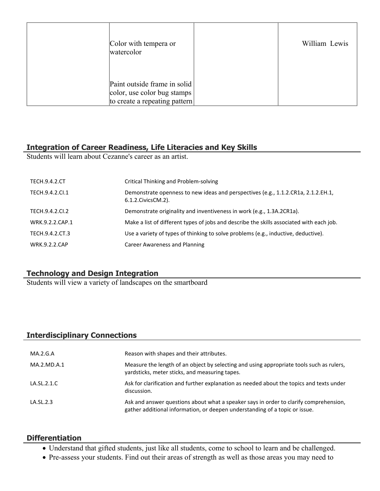| Color with tempera or<br>watercolor                                                          | William Lewis |
|----------------------------------------------------------------------------------------------|---------------|
| Paint outside frame in solid<br>color, use color bug stamps<br>to create a repeating pattern |               |

## **Integration of Career Readiness, Life Literacies and Key Skills**

Students will learn about Cezanne's career as an artist.

| <b>TECH.9.4.2.CT</b> | <b>Critical Thinking and Problem-solving</b>                                                               |
|----------------------|------------------------------------------------------------------------------------------------------------|
| TECH.9.4.2.Cl.1      | Demonstrate openness to new ideas and perspectives (e.g., 1.1.2.CR1a, 2.1.2.EH.1,<br>6.1.2. Civics CM. 2). |
| TECH.9.4.2.CI.2      | Demonstrate originality and inventiveness in work (e.g., 1.3A.2CR1a).                                      |
| WRK.9.2.2.CAP.1      | Make a list of different types of jobs and describe the skills associated with each job.                   |
| TECH.9.4.2.CT.3      | Use a variety of types of thinking to solve problems (e.g., inductive, deductive).                         |
| <b>WRK.9.2.2.CAP</b> | Career Awareness and Planning                                                                              |

## **Technology and Design Integration**

Students will view a variety of landscapes on the smartboard

# **Interdisciplinary Connections**

| MA.2.G.A    | Reason with shapes and their attributes.                                                                                                                             |
|-------------|----------------------------------------------------------------------------------------------------------------------------------------------------------------------|
| MA.2.MD.A.1 | Measure the length of an object by selecting and using appropriate tools such as rulers,<br>yardsticks, meter sticks, and measuring tapes.                           |
| LA.SL.2.1.C | Ask for clarification and further explanation as needed about the topics and texts under<br>discussion.                                                              |
| LA.SL.2.3   | Ask and answer questions about what a speaker says in order to clarify comprehension,<br>gather additional information, or deepen understanding of a topic or issue. |

#### **Differentiation**

- Understand that gifted students, just like all students, come to school to learn and be challenged.
- Pre-assess your students. Find out their areas of strength as well as those areas you may need to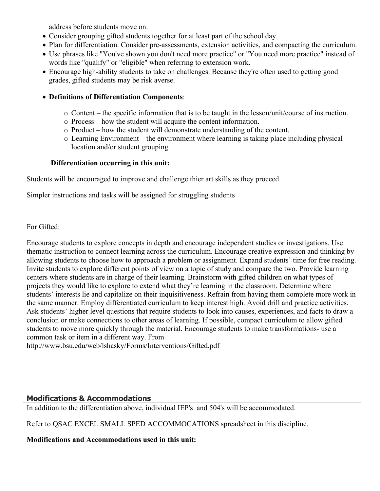address before students move on.

- Consider grouping gifted students together for at least part of the school day.
- Plan for differentiation. Consider pre-assessments, extension activities, and compacting the curriculum.
- Use phrases like "You've shown you don't need more practice" or "You need more practice" instead of words like "qualify" or "eligible" when referring to extension work.
- Encourage high-ability students to take on challenges. Because they're often used to getting good grades, gifted students may be risk averse.

### **Definitions of Differentiation Components**:

- o Content the specific information that is to be taught in the lesson/unit/course of instruction.
- o Process how the student will acquire the content information.
- o Product how the student will demonstrate understanding of the content.
- o Learning Environment the environment where learning is taking place including physical location and/or student grouping

#### **Differentiation occurring in this unit:**

Students will be encouraged to improve and challenge thier art skills as they proceed.

Simpler instructions and tasks will be assigned for struggling students

For Gifted:

Encourage students to explore concepts in depth and encourage independent studies or investigations. Use thematic instruction to connect learning across the curriculum. Encourage creative expression and thinking by allowing students to choose how to approach a problem or assignment. Expand students' time for free reading. Invite students to explore different points of view on a topic of study and compare the two. Provide learning centers where students are in charge of their learning. Brainstorm with gifted children on what types of projects they would like to explore to extend what they're learning in the classroom. Determine where students' interests lie and capitalize on their inquisitiveness. Refrain from having them complete more work in the same manner. Employ differentiated curriculum to keep interest high. Avoid drill and practice activities. Ask students' higher level questions that require students to look into causes, experiences, and facts to draw a conclusion or make connections to other areas of learning. If possible, compact curriculum to allow gifted students to move more quickly through the material. Encourage students to make transformations- use a common task or item in a different way. From

http://www.bsu.edu/web/lshasky/Forms/Interventions/Gifted.pdf

## **Modifications & Accommodations**

In addition to the differentiation above, individual IEP's and 504's will be accommodated.

Refer to QSAC EXCEL SMALL SPED ACCOMMOCATIONS spreadsheet in this discipline.

**Modifications and Accommodations used in this unit:**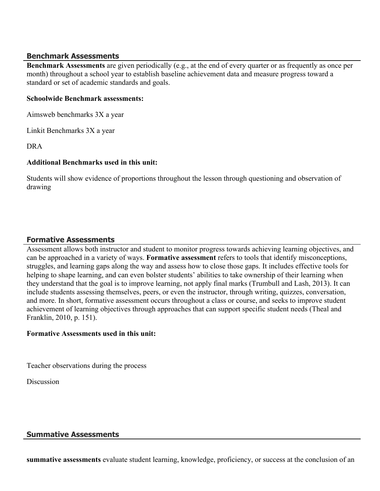#### **Benchmark Assessments**

**Benchmark Assessments** are given periodically (e.g., at the end of every quarter or as frequently as once per month) throughout a school year to establish baseline achievement data and measure progress toward a standard or set of academic standards and goals.

#### **Schoolwide Benchmark assessments:**

Aimsweb benchmarks 3X a year

Linkit Benchmarks 3X a year

DRA

#### **Additional Benchmarks used in this unit:**

Students will show evidence of proportions throughout the lesson through questioning and observation of drawing

#### **Formative Assessments**

Assessment allows both instructor and student to monitor progress towards achieving learning objectives, and can be approached in a variety of ways. **Formative assessment** refers to tools that identify misconceptions, struggles, and learning gaps along the way and assess how to close those gaps. It includes effective tools for helping to shape learning, and can even bolster students' abilities to take ownership of their learning when they understand that the goal is to improve learning, not apply final marks (Trumbull and Lash, 2013). It can include students assessing themselves, peers, or even the instructor, through writing, quizzes, conversation, and more. In short, formative assessment occurs throughout a class or course, and seeks to improve student achievement of learning objectives through approaches that can support specific student needs (Theal and Franklin, 2010, p. 151).

#### **Formative Assessments used in this unit:**

Teacher observations during the process

**Discussion** 

#### **Summative Assessments**

**summative assessments** evaluate student learning, knowledge, proficiency, or success at the conclusion of an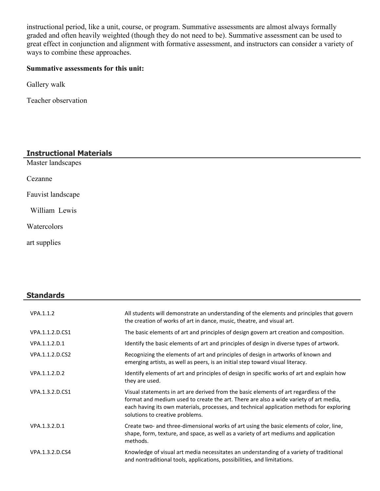instructional period, like a unit, course, or program. Summative assessments are almost always formally graded and often heavily weighted (though they do not need to be). Summative assessment can be used to great effect in conjunction and alignment with formative assessment, and instructors can consider a variety of ways to combine these approaches.

## **Summative assessments for this unit:**

Gallery walk

Teacher observation

| <b>Instructional Materials</b> |  |
|--------------------------------|--|
| Master landscapes              |  |
| Cezanne                        |  |
| Fauvist landscape              |  |
| William Lewis                  |  |
| Watercolors                    |  |

art supplies

## **Standards**

| VPA.1.1.2       | All students will demonstrate an understanding of the elements and principles that govern<br>the creation of works of art in dance, music, theatre, and visual art.                                                                                                                                            |
|-----------------|----------------------------------------------------------------------------------------------------------------------------------------------------------------------------------------------------------------------------------------------------------------------------------------------------------------|
| VPA.1.1.2.D.CS1 | The basic elements of art and principles of design govern art creation and composition.                                                                                                                                                                                                                        |
| VPA.1.1.2.D.1   | Identify the basic elements of art and principles of design in diverse types of artwork.                                                                                                                                                                                                                       |
| VPA.1.1.2.D.CS2 | Recognizing the elements of art and principles of design in artworks of known and<br>emerging artists, as well as peers, is an initial step toward visual literacy.                                                                                                                                            |
| VPA.1.1.2.D.2   | Identify elements of art and principles of design in specific works of art and explain how<br>they are used.                                                                                                                                                                                                   |
| VPA.1.3.2.D.CS1 | Visual statements in art are derived from the basic elements of art regardless of the<br>format and medium used to create the art. There are also a wide variety of art media,<br>each having its own materials, processes, and technical application methods for exploring<br>solutions to creative problems. |
| VPA.1.3.2.D.1   | Create two- and three-dimensional works of art using the basic elements of color, line,<br>shape, form, texture, and space, as well as a variety of art mediums and application<br>methods.                                                                                                                    |
| VPA.1.3.2.D.CS4 | Knowledge of visual art media necessitates an understanding of a variety of traditional<br>and nontraditional tools, applications, possibilities, and limitations.                                                                                                                                             |